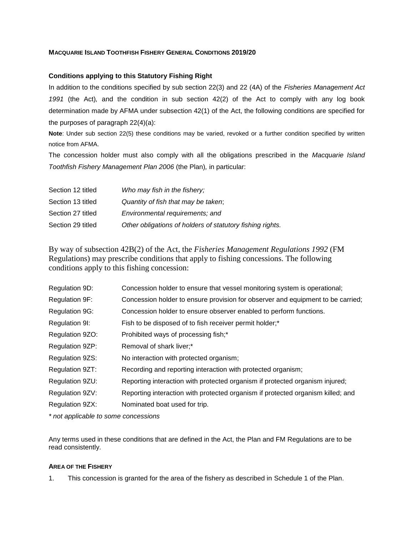## **MACQUARIE ISLAND TOOTHFISH FISHERY GENERAL CONDITIONS 2019/20**

## **Conditions applying to this Statutory Fishing Right**

In addition to the conditions specified by sub section 22(3) and 22 (4A) of the *Fisheries Management Act 1991* (the Act)*,* and the condition in sub section 42(2) of the Act to comply with any log book determination made by AFMA under subsection 42(1) of the Act, the following conditions are specified for the purposes of paragraph 22(4)(a):

**Note**: Under sub section 22(5) these conditions may be varied, revoked or a further condition specified by written notice from AFMA.

The concession holder must also comply with all the obligations prescribed in the *Macquarie Island Toothfish Fishery Management Plan 2006* (the Plan)*,* in particular:

| Section 12 titled | Who may fish in the fishery;                              |
|-------------------|-----------------------------------------------------------|
| Section 13 titled | Quantity of fish that may be taken;                       |
| Section 27 titled | Environmental requirements; and                           |
| Section 29 titled | Other obligations of holders of statutory fishing rights. |

By way of subsection 42B(2) of the Act, the *Fisheries Management Regulations 1992* (FM Regulations) may prescribe conditions that apply to fishing concessions. The following conditions apply to this fishing concession:

| Regulation 9D:        | Concession holder to ensure that vessel monitoring system is operational;       |
|-----------------------|---------------------------------------------------------------------------------|
| Regulation 9F:        | Concession holder to ensure provision for observer and equipment to be carried; |
| <b>Regulation 9G:</b> | Concession holder to ensure observer enabled to perform functions.              |
| Regulation 9I:        | Fish to be disposed of to fish receiver permit holder;*                         |
| Regulation 9ZO:       | Prohibited ways of processing fish;*                                            |
| Regulation 9ZP:       | Removal of shark liver;*                                                        |
| Regulation 9ZS:       | No interaction with protected organism;                                         |
| Regulation 9ZT:       | Recording and reporting interaction with protected organism;                    |
| Regulation 9ZU:       | Reporting interaction with protected organism if protected organism injured;    |
| Regulation 9ZV:       | Reporting interaction with protected organism if protected organism killed; and |
| Regulation 9ZX:       | Nominated boat used for trip.                                                   |
|                       |                                                                                 |

*\* not applicable to some concessions*

Any terms used in these conditions that are defined in the Act, the Plan and FM Regulations are to be read consistently.

### **AREA OF THE FISHERY**

1. This concession is granted for the area of the fishery as described in Schedule 1 of the Plan.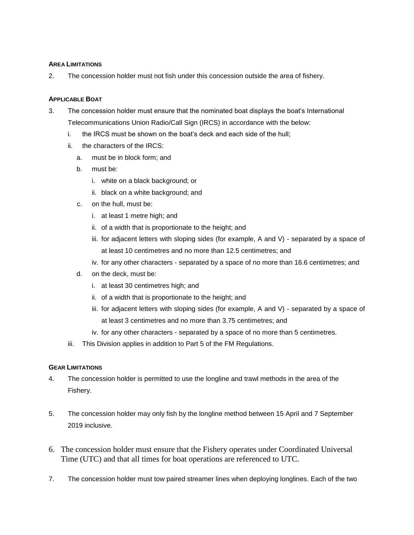### **AREA LIMITATIONS**

2. The concession holder must not fish under this concession outside the area of fishery.

### **APPLICABLE BOAT**

- 3. The concession holder must ensure that the nominated boat displays the boat's International Telecommunications Union Radio/Call Sign (IRCS) in accordance with the below:
	- i. the IRCS must be shown on the boat's deck and each side of the hull;
	- ii. the characters of the IRCS:
		- a. must be in block form; and
		- b. must be:
			- i. white on a black background; or
			- ii. black on a white background; and
		- c. on the hull, must be:
			- i. at least 1 metre high; and
			- ii. of a width that is proportionate to the height; and
			- iii. for adjacent letters with sloping sides (for example, A and V) separated by a space of at least 10 centimetres and no more than 12.5 centimetres; and
			- iv. for any other characters separated by a space of no more than 16.6 centimetres; and
		- d. on the deck, must be:
			- i. at least 30 centimetres high; and
			- ii. of a width that is proportionate to the height; and
			- iii. for adjacent letters with sloping sides (for example, A and V) separated by a space of at least 3 centimetres and no more than 3.75 centimetres; and
			- iv. for any other characters separated by a space of no more than 5 centimetres.
	- iii. This Division applies in addition to Part 5 of the FM Regulations.

### **GEAR LIMITATIONS**

- 4. The concession holder is permitted to use the longline and trawl methods in the area of the Fishery.
- 5. The concession holder may only fish by the longline method between 15 April and 7 September 2019 inclusive.
- 6. The concession holder must ensure that the Fishery operates under Coordinated Universal Time (UTC) and that all times for boat operations are referenced to UTC.
- 7. The concession holder must tow paired streamer lines when deploying longlines. Each of the two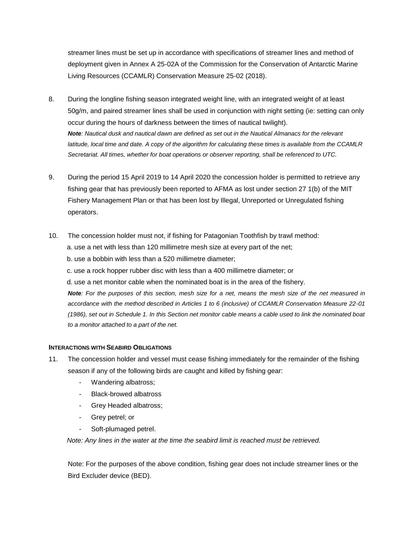streamer lines must be set up in accordance with specifications of streamer lines and method of deployment given in Annex A 25-02A of the Commission for the Conservation of Antarctic Marine Living Resources (CCAMLR) Conservation Measure 25-02 (2018).

- 8. During the longline fishing season integrated weight line, with an integrated weight of at least 50g/m, and paired streamer lines shall be used in conjunction with night setting (ie: setting can only occur during the hours of darkness between the times of nautical twilight). *Note: Nautical dusk and nautical dawn are defined as set out in the Nautical Almanacs for the relevant latitude, local time and date. A copy of the algorithm for calculating these times is available from the CCAMLR Secretariat. All times, whether for boat operations or observer reporting, shall be referenced to UTC.*
- 9. During the period 15 April 2019 to 14 April 2020 the concession holder is permitted to retrieve any fishing gear that has previously been reported to AFMA as lost under section 27 1(b) of the MIT Fishery Management Plan or that has been lost by Illegal, Unreported or Unregulated fishing operators.
- 10. The concession holder must not, if fishing for Patagonian Toothfish by trawl method:
	- a. use a net with less than 120 millimetre mesh size at every part of the net;
	- b. use a bobbin with less than a 520 millimetre diameter;
	- c. use a rock hopper rubber disc with less than a 400 millimetre diameter; or
	- d. use a net monitor cable when the nominated boat is in the area of the fishery.

*Note: For the purposes of this section, mesh size for a net, means the mesh size of the net measured in accordance with the method described in Articles 1 to 6 (inclusive) of CCAMLR Conservation Measure 22-01 (1986), set out in Schedule 1. In this Section net monitor cable means a cable used to link the nominated boat to a monitor attached to a part of the net.*

### **INTERACTIONS WITH SEABIRD OBLIGATIONS**

- 11. The concession holder and vessel must cease fishing immediately for the remainder of the fishing season if any of the following birds are caught and killed by fishing gear:
	- Wandering albatross;
	- Black-browed albatross
	- Grey Headed albatross;
	- Grey petrel; or
	- Soft-plumaged petrel.

*Note: Any lines in the water at the time the seabird limit is reached must be retrieved.*

Note: For the purposes of the above condition, fishing gear does not include streamer lines or the Bird Excluder device (BED).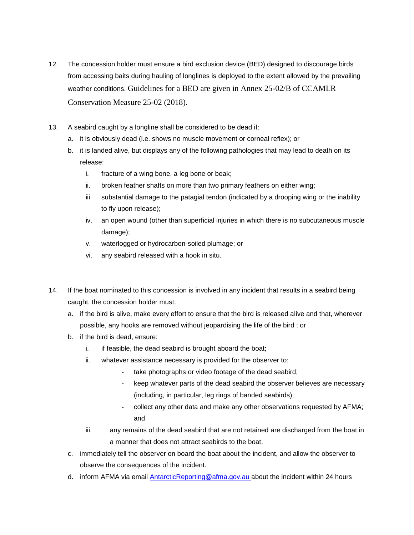- 12. The concession holder must ensure a bird exclusion device (BED) designed to discourage birds from accessing baits during hauling of longlines is deployed to the extent allowed by the prevailing weather conditions. Guidelines for a BED are given in Annex 25-02/B of CCAMLR Conservation Measure 25-02 (2018).
- 13. A seabird caught by a longline shall be considered to be dead if:
	- a. it is obviously dead (i.e. shows no muscle movement or corneal reflex); or
	- b. it is landed alive, but displays any of the following pathologies that may lead to death on its release:
		- i. fracture of a wing bone, a leg bone or beak;
		- ii. broken feather shafts on more than two primary feathers on either wing;
		- iii. substantial damage to the patagial tendon (indicated by a drooping wing or the inability to fly upon release);
		- iv. an open wound (other than superficial injuries in which there is no subcutaneous muscle damage);
		- v. waterlogged or hydrocarbon-soiled plumage; or
		- vi. any seabird released with a hook in situ.
- 14. If the boat nominated to this concession is involved in any incident that results in a seabird being caught, the concession holder must:
	- a. if the bird is alive, make every effort to ensure that the bird is released alive and that, wherever possible, any hooks are removed without jeopardising the life of the bird ; or
	- b. if the bird is dead, ensure:
		- i. if feasible, the dead seabird is brought aboard the boat;
		- ii. whatever assistance necessary is provided for the observer to:
			- take photographs or video footage of the dead seabird;
			- keep whatever parts of the dead seabird the observer believes are necessary (including, in particular, leg rings of banded seabirds);
			- collect any other data and make any other observations requested by AFMA; and
		- iii. any remains of the dead seabird that are not retained are discharged from the boat in a manner that does not attract seabirds to the boat.
	- c. immediately tell the observer on board the boat about the incident, and allow the observer to observe the consequences of the incident.
	- d. inform AFMA via email AntarcticReporting@afma.gov.au about the incident within 24 hours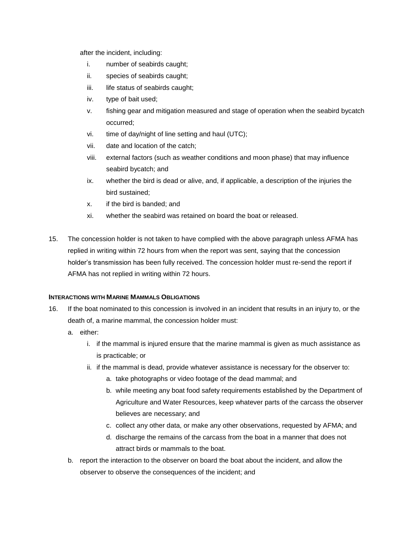after the incident, including:

- i. number of seabirds caught;
- ii. species of seabirds caught;
- iii. life status of seabirds caught;
- iv. type of bait used;
- v. fishing gear and mitigation measured and stage of operation when the seabird bycatch occurred;
- vi. time of day/night of line setting and haul (UTC);
- vii. date and location of the catch;
- viii. external factors (such as weather conditions and moon phase) that may influence seabird bycatch; and
- ix. whether the bird is dead or alive, and, if applicable, a description of the injuries the bird sustained;
- x. if the bird is banded; and
- xi. whether the seabird was retained on board the boat or released.
- 15. The concession holder is not taken to have complied with the above paragraph unless AFMA has replied in writing within 72 hours from when the report was sent, saying that the concession holder's transmission has been fully received. The concession holder must re-send the report if AFMA has not replied in writing within 72 hours.

# **INTERACTIONS WITH MARINE MAMMALS OBLIGATIONS**

- 16. If the boat nominated to this concession is involved in an incident that results in an injury to, or the death of, a marine mammal, the concession holder must:
	- a. either:
		- i. if the mammal is injured ensure that the marine mammal is given as much assistance as is practicable; or
		- ii. if the mammal is dead, provide whatever assistance is necessary for the observer to:
			- a. take photographs or video footage of the dead mammal; and
			- b. while meeting any boat food safety requirements established by the Department of Agriculture and Water Resources, keep whatever parts of the carcass the observer believes are necessary; and
			- c. collect any other data, or make any other observations, requested by AFMA; and
			- d. discharge the remains of the carcass from the boat in a manner that does not attract birds or mammals to the boat.
	- b. report the interaction to the observer on board the boat about the incident, and allow the observer to observe the consequences of the incident; and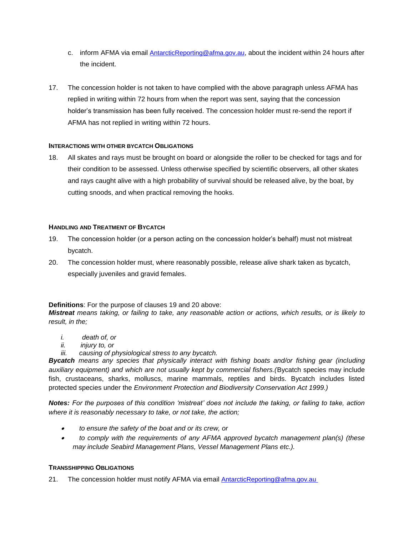- c. inform AFMA via email AntarcticReporting@afma.gov.au, about the incident within 24 hours after the incident.
- 17. The concession holder is not taken to have complied with the above paragraph unless AFMA has replied in writing within 72 hours from when the report was sent, saying that the concession holder's transmission has been fully received. The concession holder must re-send the report if AFMA has not replied in writing within 72 hours.

## **INTERACTIONS WITH OTHER BYCATCH OBLIGATIONS**

18. All skates and rays must be brought on board or alongside the roller to be checked for tags and for their condition to be assessed. Unless otherwise specified by scientific observers, all other skates and rays caught alive with a high probability of survival should be released alive, by the boat, by cutting snoods, and when practical removing the hooks.

## **HANDLING AND TREATMENT OF BYCATCH**

- 19. The concession holder (or a person acting on the concession holder's behalf) must not mistreat bycatch.
- 20. The concession holder must, where reasonably possible, release alive shark taken as bycatch, especially juveniles and gravid females.

**Definitions**: For the purpose of clauses 19 and 20 above:

*Mistreat means taking, or failing to take, any reasonable action or actions, which results, or is likely to result, in the;*

- *i. death of, or*
- *ii. injury to, or*
- *iii. causing of physiological stress to any bycatch.*

*Bycatch means any species that physically interact with fishing boats and/or fishing gear (including auxiliary equipment) and which are not usually kept by commercial fishers.(*Bycatch species may include fish, crustaceans, sharks, molluscs, marine mammals, reptiles and birds. Bycatch includes listed protected species under the *Environment Protection and Biodiversity Conservation Act 1999.)*

*Notes: For the purposes of this condition 'mistreat' does not include the taking, or failing to take, action where it is reasonably necessary to take, or not take, the action;*

- *to ensure the safety of the boat and or its crew, or*
- *to comply with the requirements of any AFMA approved bycatch management plan(s) (these may include Seabird Management Plans, Vessel Management Plans etc.).*

### **TRANSSHIPPING OBLIGATIONS**

21. The concession holder must notify AFMA via email **AntarcticReporting@afma.gov.au**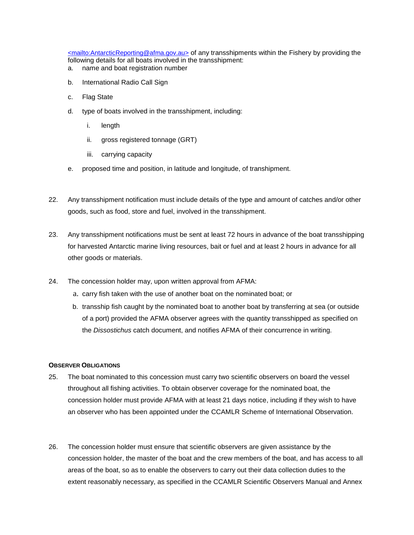<mailto:AntarcticReporting@afma.gov.au> of any transshipments within the Fishery by providing the following details for all boats involved in the transshipment:

- a. name and boat registration number
- b. International Radio Call Sign
- c. Flag State
- d. type of boats involved in the transshipment, including:
	- i. length
	- ii. gross registered tonnage (GRT)
	- iii. carrying capacity
- e. proposed time and position, in latitude and longitude, of transhipment.
- 22. Any transshipment notification must include details of the type and amount of catches and/or other goods, such as food, store and fuel, involved in the transshipment.
- 23. Any transshipment notifications must be sent at least 72 hours in advance of the boat transshipping for harvested Antarctic marine living resources, bait or fuel and at least 2 hours in advance for all other goods or materials.
- 24. The concession holder may, upon written approval from AFMA:
	- a. carry fish taken with the use of another boat on the nominated boat; or
	- b. transship fish caught by the nominated boat to another boat by transferring at sea (or outside of a port) provided the AFMA observer agrees with the quantity transshipped as specified on the *Dissostichus* catch document, and notifies AFMA of their concurrence in writing.

### **OBSERVER OBLIGATIONS**

- 25. The boat nominated to this concession must carry two scientific observers on board the vessel throughout all fishing activities. To obtain observer coverage for the nominated boat, the concession holder must provide AFMA with at least 21 days notice, including if they wish to have an observer who has been appointed under the CCAMLR Scheme of International Observation.
- 26. The concession holder must ensure that scientific observers are given assistance by the concession holder, the master of the boat and the crew members of the boat, and has access to all areas of the boat, so as to enable the observers to carry out their data collection duties to the extent reasonably necessary, as specified in the CCAMLR Scientific Observers Manual and Annex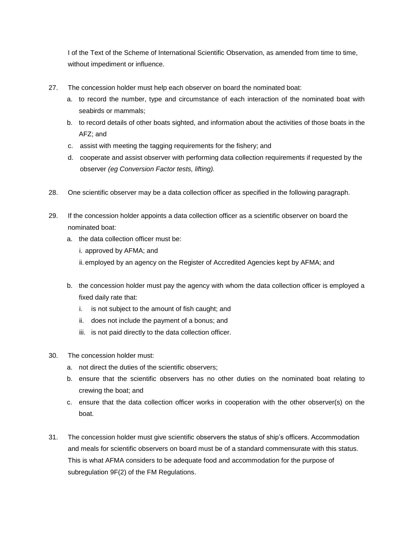I of the Text of the Scheme of International Scientific Observation, as amended from time to time, without impediment or influence.

- 27. The concession holder must help each observer on board the nominated boat:
	- a. to record the number, type and circumstance of each interaction of the nominated boat with seabirds or mammals;
	- b. to record details of other boats sighted, and information about the activities of those boats in the AFZ; and
	- c. assist with meeting the tagging requirements for the fishery; and
	- d. cooperate and assist observer with performing data collection requirements if requested by the observer *(eg Conversion Factor tests, lifting).*
- 28. One scientific observer may be a data collection officer as specified in the following paragraph.
- 29. If the concession holder appoints a data collection officer as a scientific observer on board the nominated boat:
	- a. the data collection officer must be:
		- i. approved by AFMA; and
		- ii. employed by an agency on the Register of Accredited Agencies kept by AFMA; and
	- b. the concession holder must pay the agency with whom the data collection officer is employed a fixed daily rate that:
		- i. is not subject to the amount of fish caught; and
		- ii. does not include the payment of a bonus; and
		- iii. is not paid directly to the data collection officer.
- 30. The concession holder must:
	- a. not direct the duties of the scientific observers;
	- b. ensure that the scientific observers has no other duties on the nominated boat relating to crewing the boat; and
	- c. ensure that the data collection officer works in cooperation with the other observer(s) on the boat.
- 31. The concession holder must give scientific observers the status of ship's officers. Accommodation and meals for scientific observers on board must be of a standard commensurate with this status. This is what AFMA considers to be adequate food and accommodation for the purpose of subregulation 9F(2) of the FM Regulations.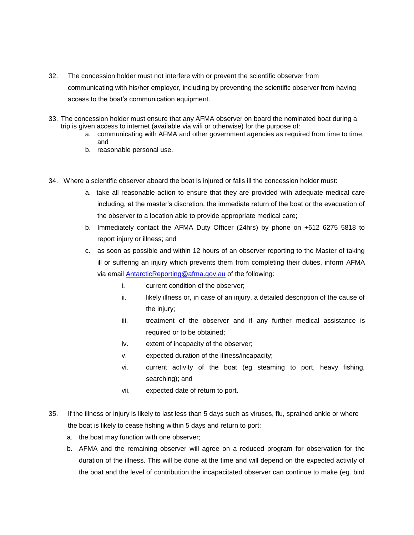- 32. The concession holder must not interfere with or prevent the scientific observer from communicating with his/her employer, including by preventing the scientific observer from having access to the boat's communication equipment.
- 33. The concession holder must ensure that any AFMA observer on board the nominated boat during a trip is given access to internet (available via wifi or otherwise) for the purpose of:
	- a. communicating with AFMA and other government agencies as required from time to time; and
	- b. reasonable personal use.
- 34. Where a scientific observer aboard the boat is injured or falls ill the concession holder must:
	- a. take all reasonable action to ensure that they are provided with adequate medical care including, at the master's discretion, the immediate return of the boat or the evacuation of the observer to a location able to provide appropriate medical care;
	- b. Immediately contact the AFMA Duty Officer (24hrs) by phone on +612 6275 5818 to report injury or illness; and
	- c. as soon as possible and within 12 hours of an observer reporting to the Master of taking ill or suffering an injury which prevents them from completing their duties, inform AFMA via email AntarcticReporting@afma.gov.au of the following:
		- i. current condition of the observer;
		- ii. likely illness or, in case of an injury, a detailed description of the cause of the injury;
		- iii. treatment of the observer and if any further medical assistance is required or to be obtained;
		- iv. extent of incapacity of the observer;
		- v. expected duration of the illness/incapacity;
		- vi. current activity of the boat (eg steaming to port, heavy fishing, searching); and
		- vii. expected date of return to port.
- 35. If the illness or injury is likely to last less than 5 days such as viruses, flu, sprained ankle or where the boat is likely to cease fishing within 5 days and return to port:
	- a. the boat may function with one observer;
	- b. AFMA and the remaining observer will agree on a reduced program for observation for the duration of the illness. This will be done at the time and will depend on the expected activity of the boat and the level of contribution the incapacitated observer can continue to make (eg. bird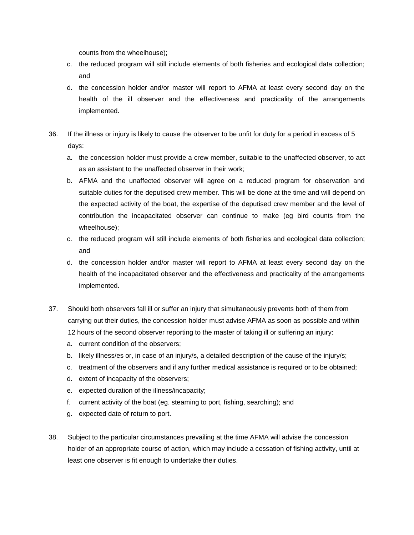counts from the wheelhouse);

- c. the reduced program will still include elements of both fisheries and ecological data collection; and
- d. the concession holder and/or master will report to AFMA at least every second day on the health of the ill observer and the effectiveness and practicality of the arrangements implemented.
- 36. If the illness or injury is likely to cause the observer to be unfit for duty for a period in excess of 5 days:
	- a. the concession holder must provide a crew member, suitable to the unaffected observer, to act as an assistant to the unaffected observer in their work;
	- b. AFMA and the unaffected observer will agree on a reduced program for observation and suitable duties for the deputised crew member. This will be done at the time and will depend on the expected activity of the boat, the expertise of the deputised crew member and the level of contribution the incapacitated observer can continue to make (eg bird counts from the wheelhouse);
	- c. the reduced program will still include elements of both fisheries and ecological data collection; and
	- d. the concession holder and/or master will report to AFMA at least every second day on the health of the incapacitated observer and the effectiveness and practicality of the arrangements implemented.
- 37. Should both observers fall ill or suffer an injury that simultaneously prevents both of them from carrying out their duties, the concession holder must advise AFMA as soon as possible and within 12 hours of the second observer reporting to the master of taking ill or suffering an injury:
	- a. current condition of the observers;
	- b. likely illness/es or, in case of an injury/s, a detailed description of the cause of the injury/s;
	- c. treatment of the observers and if any further medical assistance is required or to be obtained;
	- d. extent of incapacity of the observers;
	- e. expected duration of the illness/incapacity;
	- f. current activity of the boat (eg. steaming to port, fishing, searching); and
	- g. expected date of return to port.
- 38. Subject to the particular circumstances prevailing at the time AFMA will advise the concession holder of an appropriate course of action, which may include a cessation of fishing activity, until at least one observer is fit enough to undertake their duties.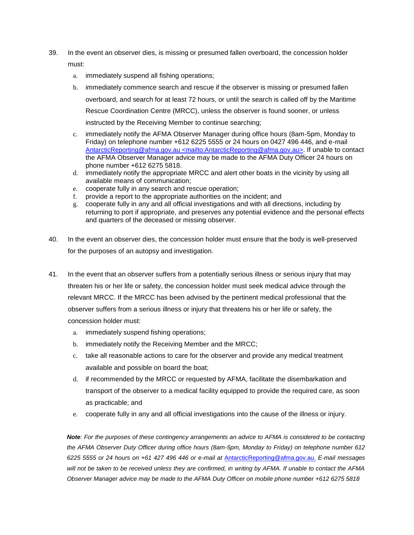- 39. In the event an observer dies, is missing or presumed fallen overboard, the concession holder must:
	- a. immediately suspend all fishing operations;
	- b. immediately commence search and rescue if the observer is missing or presumed fallen overboard, and search for at least 72 hours, or until the search is called off by the Maritime Rescue Coordination Centre (MRCC), unless the observer is found sooner, or unless instructed by the Receiving Member to continue searching;
	- c. immediately notify the AFMA Observer Manager during office hours (8am-5pm, Monday to Friday) on telephone number +612 6225 5555 or 24 hours on 0427 496 446, and e-mail AntarcticReporting@afma.gov.au <mailto:AntarcticReporting@afma.gov.au>. If unable to contact the AFMA Observer Manager advice may be made to the AFMA Duty Officer 24 hours on phone number +612 6275 5818.
	- d. immediately notify the appropriate MRCC and alert other boats in the vicinity by using all available means of communication;
	- e. cooperate fully in any search and rescue operation;
	- f. provide a report to the appropriate authorities on the incident; and
	- g. cooperate fully in any and all official investigations and with all directions, including by returning to port if appropriate, and preserves any potential evidence and the personal effects and quarters of the deceased or missing observer.
- 40. In the event an observer dies, the concession holder must ensure that the body is well-preserved for the purposes of an autopsy and investigation.
- 41. In the event that an observer suffers from a potentially serious illness or serious injury that may threaten his or her life or safety, the concession holder must seek medical advice through the relevant MRCC. If the MRCC has been advised by the pertinent medical professional that the observer suffers from a serious illness or injury that threatens his or her life or safety, the concession holder must:
	- a. immediately suspend fishing operations;
	- b. immediately notify the Receiving Member and the MRCC;
	- c. take all reasonable actions to care for the observer and provide any medical treatment available and possible on board the boat;
	- d. if recommended by the MRCC or requested by AFMA, facilitate the disembarkation and transport of the observer to a medical facility equipped to provide the required care, as soon as practicable; and
	- e. cooperate fully in any and all official investigations into the cause of the illness or injury.

*Note: For the purposes of these contingency arrangements an advice to AFMA is considered to be contacting the AFMA Observer Duty Officer during office hours (8am-5pm, Monday to Friday) on telephone number 612 6225 5555 or 24 hours on +61 427 496 446 or e-mail at* AntarcticReporting@afma.gov.au. *E-mail messages will not be taken to be received unless they are confirmed, in writing by AFMA. If unable to contact the AFMA Observer Manager advice may be made to the AFMA Duty Officer on mobile phone number +612 6275 5818*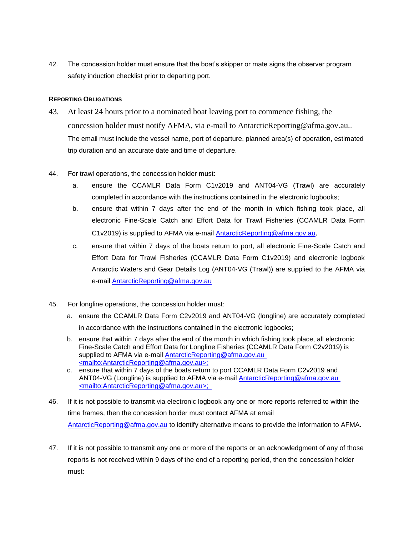42. The concession holder must ensure that the boat's skipper or mate signs the observer program safety induction checklist prior to departing port.

# **REPORTING OBLIGATIONS**

- 43. At least 24 hours prior to a nominated boat leaving port to commence fishing, the concession holder must notify AFMA, via e-mail to AntarcticReporting@afma.gov.au.. The email must include the vessel name, port of departure, planned area(s) of operation, estimated trip duration and an accurate date and time of departure.
- 44. For trawl operations, the concession holder must:
	- a. ensure the CCAMLR Data Form C1v2019 and ANT04-VG (Trawl) are accurately completed in accordance with the instructions contained in the electronic logbooks;
	- b. ensure that within 7 days after the end of the month in which fishing took place, all electronic Fine-Scale Catch and Effort Data for Trawl Fisheries (CCAMLR Data Form C1v2019) is supplied to AFMA via e-mail AntarcticReporting@afma.gov.au.
	- c. ensure that within 7 days of the boats return to port, all electronic Fine-Scale Catch and Effort Data for Trawl Fisheries (CCAMLR Data Form C1v2019) and electronic logbook Antarctic Waters and Gear Details Log (ANT04-VG (Trawl)) are supplied to the AFMA via e-mail AntarcticReporting@afma.gov.au
- 45. For longline operations, the concession holder must:
	- a. ensure the CCAMLR Data Form C2v2019 and ANT04-VG (longline) are accurately completed in accordance with the instructions contained in the electronic logbooks;
	- b. ensure that within 7 days after the end of the month in which fishing took place, all electronic Fine-Scale Catch and Effort Data for Longline Fisheries (CCAMLR Data Form C2v2019) is supplied to AFMA via e-mail AntarcticReporting@afma.gov.au <mailto:AntarcticReporting@afma.gov.au>;
	- c. ensure that within 7 days of the boats return to port CCAMLR Data Form C2v2019 and ANT04-VG (Longline) is supplied to AFMA via e-mail **AntarcticReporting@afma.gov.au** <mailto:AntarcticReporting@afma.gov.au>;
- 46. If it is not possible to transmit via electronic logbook any one or more reports referred to within the time frames, then the concession holder must contact AFMA at email AntarcticReporting@afma.gov.au to identify alternative means to provide the information to AFMA.
- 47. If it is not possible to transmit any one or more of the reports or an acknowledgment of any of those reports is not received within 9 days of the end of a reporting period, then the concession holder must: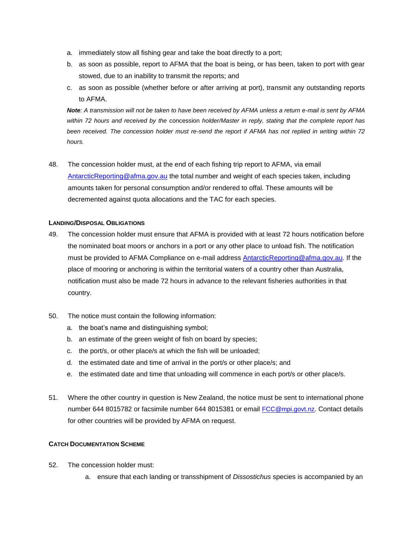- a. immediately stow all fishing gear and take the boat directly to a port;
- b. as soon as possible, report to AFMA that the boat is being, or has been, taken to port with gear stowed, due to an inability to transmit the reports; and
- c. as soon as possible (whether before or after arriving at port), transmit any outstanding reports to AFMA.

*Note: A transmission will not be taken to have been received by AFMA unless a return e-mail is sent by AFMA within 72 hours and received by the* concession *holder/Master in reply, stating that the complete report has been received. The concession holder must re-send the report if AFMA has not replied in writing within 72 hours.* 

48. The concession holder must, at the end of each fishing trip report to AFMA, via email AntarcticReporting@afma.gov.au the total number and weight of each species taken, including amounts taken for personal consumption and/or rendered to offal. These amounts will be decremented against quota allocations and the TAC for each species.

## **LANDING/DISPOSAL OBLIGATIONS**

- 49. The concession holder must ensure that AFMA is provided with at least 72 hours notification before the nominated boat moors or anchors in a port or any other place to unload fish. The notification must be provided to AFMA Compliance on e-mail address AntarcticReporting@afma.gov.au. If the place of mooring or anchoring is within the territorial waters of a country other than Australia, notification must also be made 72 hours in advance to the relevant fisheries authorities in that country.
- 50. The notice must contain the following information:
	- a. the boat's name and distinguishing symbol;
	- b. an estimate of the green weight of fish on board by species;
	- c. the port/s, or other place/s at which the fish will be unloaded;
	- d. the estimated date and time of arrival in the port/s or other place/s; and
	- e. the estimated date and time that unloading will commence in each port/s or other place/s.
- 51. Where the other country in question is New Zealand, the notice must be sent to international phone number 644 8015782 or facsimile number 644 8015381 or email FCC@mpi.govt.nz. Contact details for other countries will be provided by AFMA on request.

### **CATCH DOCUMENTATION SCHEME**

- 52. The concession holder must:
	- a. ensure that each landing or transshipment of *Dissostichus* species is accompanied by an